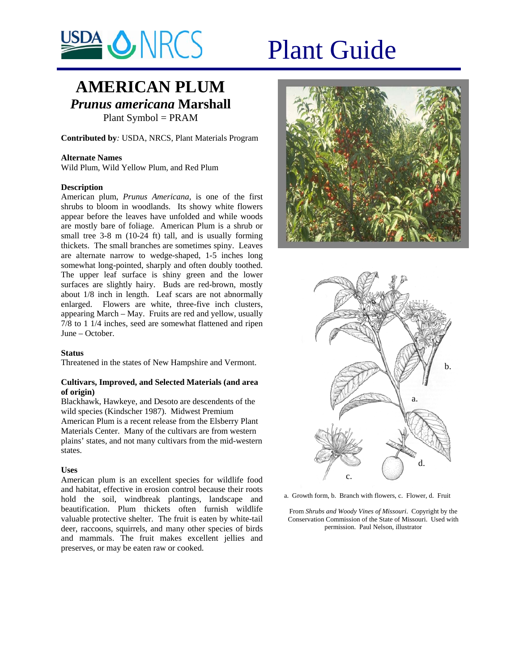

# **AMERICAN PLUM** *Prunus americana* **Marshall**

Plant Symbol = PRAM

**Contributed by***:* USDA, NRCS, Plant Materials Program

# **Alternate Names**

Wild Plum, Wild Yellow Plum, and Red Plum

# **Description**

American plum, *Prunus Americana,* is one of the first shrubs to bloom in woodlands. Its showy white flowers appear before the leaves have unfolded and while woods are mostly bare of foliage. American Plum is a shrub or small tree 3-8 m (10-24 ft) tall, and is usually forming thickets. The small branches are sometimes spiny. Leaves are alternate narrow to wedge-shaped, 1-5 inches long somewhat long-pointed, sharply and often doubly toothed. The upper leaf surface is shiny green and the lower surfaces are slightly hairy. Buds are red-brown, mostly about 1/8 inch in length. Leaf scars are not abnormally enlarged. Flowers are white, three-five inch clusters, appearing March – May. Fruits are red and yellow, usually 7/8 to 1 1/4 inches, seed are somewhat flattened and ripen June – October.

# **Status**

Threatened in the states of New Hampshire and Vermont.

# **Cultivars, Improved, and Selected Materials (and area of origin)**

Blackhawk, Hawkeye, and Desoto are descendents of the wild species (Kindscher 1987). Midwest Premium American Plum is a recent release from the Elsberry Plant Materials Center. Many of the cultivars are from western plains' states, and not many cultivars from the mid-western states.

# **Uses**

American plum is an excellent species for wildlife food and habitat, effective in erosion control because their roots hold the soil, windbreak plantings, landscape and beautification. Plum thickets often furnish wildlife valuable protective shelter. The fruit is eaten by white-tail deer, raccoons, squirrels, and many other species of birds and mammals. The fruit makes excellent jellies and preserves, or may be eaten raw or cooked.





a. Growth form, b. Branch with flowers, c. Flower, d. Fruit

From *Shrubs and Woody Vines of Missouri*. Copyright by the Conservation Commission of the State of Missouri. Used with permission. Paul Nelson, illustrator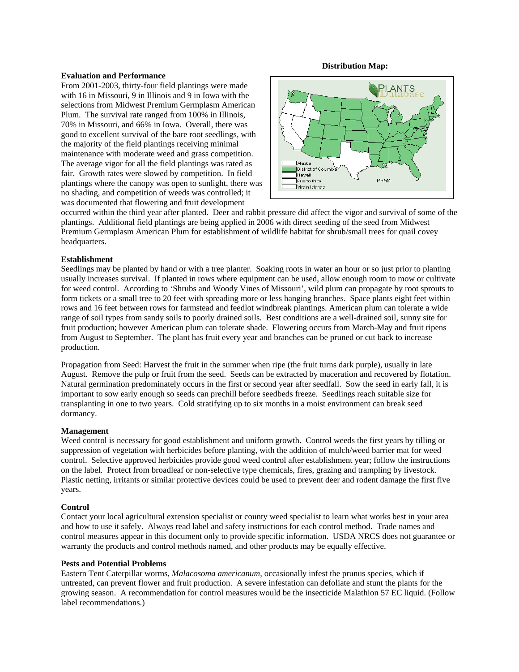#### **Distribution Map:**

#### **Evaluation and Performance**

From 2001-2003, thirty-four field plantings were made with 16 in Missouri, 9 in Illinois and 9 in Iowa with the selections from Midwest Premium Germplasm American Plum. The survival rate ranged from 100% in Illinois, 70% in Missouri, and 66% in Iowa. Overall, there was good to excellent survival of the bare root seedlings, with the majority of the field plantings receiving minimal maintenance with moderate weed and grass competition. The average vigor for all the field plantings was rated as fair. Growth rates were slowed by competition. In field plantings where the canopy was open to sunlight, there was no shading, and competition of weeds was controlled; it was documented that flowering and fruit development



occurred within the third year after planted. Deer and rabbit pressure did affect the vigor and survival of some of the plantings. Additional field plantings are being applied in 2006 with direct seeding of the seed from Midwest Premium Germplasm American Plum for establishment of wildlife habitat for shrub/small trees for quail covey headquarters.

# **Establishment**

Seedlings may be planted by hand or with a tree planter. Soaking roots in water an hour or so just prior to planting usually increases survival. If planted in rows where equipment can be used, allow enough room to mow or cultivate for weed control. According to 'Shrubs and Woody Vines of Missouri', wild plum can propagate by root sprouts to form tickets or a small tree to 20 feet with spreading more or less hanging branches. Space plants eight feet within rows and 16 feet between rows for farmstead and feedlot windbreak plantings. American plum can tolerate a wide range of soil types from sandy soils to poorly drained soils. Best conditions are a well-drained soil, sunny site for fruit production; however American plum can tolerate shade. Flowering occurs from March-May and fruit ripens from August to September. The plant has fruit every year and branches can be pruned or cut back to increase production.

Propagation from Seed: Harvest the fruit in the summer when ripe (the fruit turns dark purple), usually in late August. Remove the pulp or fruit from the seed. Seeds can be extracted by maceration and recovered by flotation. Natural germination predominately occurs in the first or second year after seedfall. Sow the seed in early fall, it is important to sow early enough so seeds can prechill before seedbeds freeze. Seedlings reach suitable size for transplanting in one to two years. Cold stratifying up to six months in a moist environment can break seed dormancy.

# **Management**

Weed control is necessary for good establishment and uniform growth. Control weeds the first years by tilling or suppression of vegetation with herbicides before planting, with the addition of mulch/weed barrier mat for weed control. Selective approved herbicides provide good weed control after establishment year; follow the instructions on the label. Protect from broadleaf or non-selective type chemicals, fires, grazing and trampling by livestock. Plastic netting, irritants or similar protective devices could be used to prevent deer and rodent damage the first five years.

# **Control**

Contact your local agricultural extension specialist or county weed specialist to learn what works best in your area and how to use it safely. Always read label and safety instructions for each control method. Trade names and control measures appear in this document only to provide specific information. USDA NRCS does not guarantee or warranty the products and control methods named, and other products may be equally effective.

# **Pests and Potential Problems**

Eastern Tent Caterpillar worms, *Malacosoma americanum*, occasionally infest the prunus species, which if untreated, can prevent flower and fruit production. A severe infestation can defoliate and stunt the plants for the growing season. A recommendation for control measures would be the insecticide Malathion 57 EC liquid. (Follow label recommendations.)